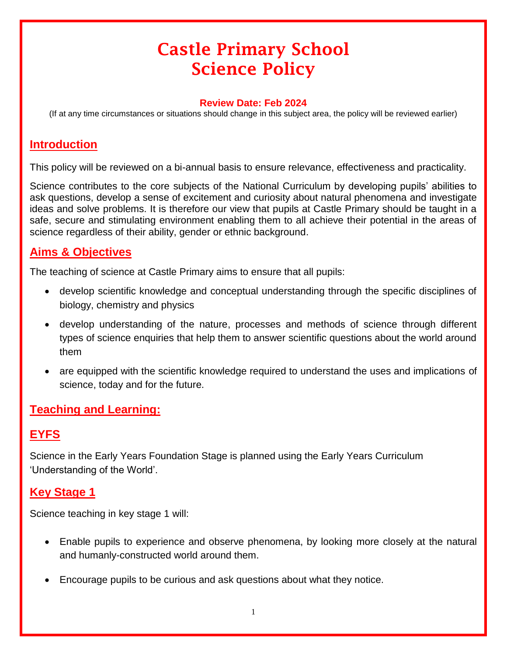# Castle Primary School Science Policy

#### **Review Date: Feb 2024**

(If at any time circumstances or situations should change in this subject area, the policy will be reviewed earlier)

# **Introduction**

This policy will be reviewed on a bi-annual basis to ensure relevance, effectiveness and practicality.

Science contributes to the core subjects of the National Curriculum by developing pupils' abilities to ask questions, develop a sense of excitement and curiosity about natural phenomena and investigate ideas and solve problems. It is therefore our view that pupils at Castle Primary should be taught in a safe, secure and stimulating environment enabling them to all achieve their potential in the areas of science regardless of their ability, gender or ethnic background.

# **Aims & Objectives**

The teaching of science at Castle Primary aims to ensure that all pupils:

- develop scientific knowledge and conceptual understanding through the specific disciplines of biology, chemistry and physics
- develop understanding of the nature, processes and methods of science through different types of science enquiries that help them to answer scientific questions about the world around them
- are equipped with the scientific knowledge required to understand the uses and implications of science, today and for the future.

#### **Teaching and Learning:**

# **EYFS**

Science in the Early Years Foundation Stage is planned using the Early Years Curriculum 'Understanding of the World'.

# **Key Stage 1**

Science teaching in key stage 1 will:

- Enable pupils to experience and observe phenomena, by looking more closely at the natural and humanly-constructed world around them.
- Encourage pupils to be curious and ask questions about what they notice.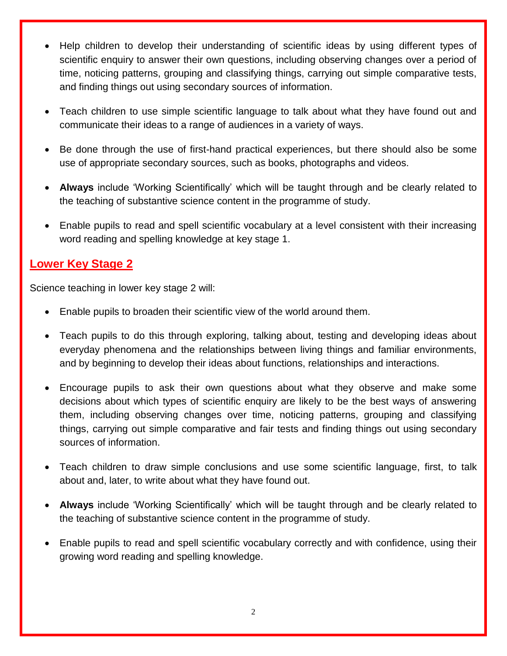- Help children to develop their understanding of scientific ideas by using different types of scientific enquiry to answer their own questions, including observing changes over a period of time, noticing patterns, grouping and classifying things, carrying out simple comparative tests, and finding things out using secondary sources of information.
- Teach children to use simple scientific language to talk about what they have found out and communicate their ideas to a range of audiences in a variety of ways.
- Be done through the use of first-hand practical experiences, but there should also be some use of appropriate secondary sources, such as books, photographs and videos.
- **Always** include 'Working Scientifically' which will be taught through and be clearly related to the teaching of substantive science content in the programme of study.
- Enable pupils to read and spell scientific vocabulary at a level consistent with their increasing word reading and spelling knowledge at key stage 1.

#### **Lower Key Stage 2**

Science teaching in lower key stage 2 will:

- Enable pupils to broaden their scientific view of the world around them.
- Teach pupils to do this through exploring, talking about, testing and developing ideas about everyday phenomena and the relationships between living things and familiar environments, and by beginning to develop their ideas about functions, relationships and interactions.
- Encourage pupils to ask their own questions about what they observe and make some decisions about which types of scientific enquiry are likely to be the best ways of answering them, including observing changes over time, noticing patterns, grouping and classifying things, carrying out simple comparative and fair tests and finding things out using secondary sources of information.
- Teach children to draw simple conclusions and use some scientific language, first, to talk about and, later, to write about what they have found out.
- **Always** include 'Working Scientifically' which will be taught through and be clearly related to the teaching of substantive science content in the programme of study.
- Enable pupils to read and spell scientific vocabulary correctly and with confidence, using their growing word reading and spelling knowledge.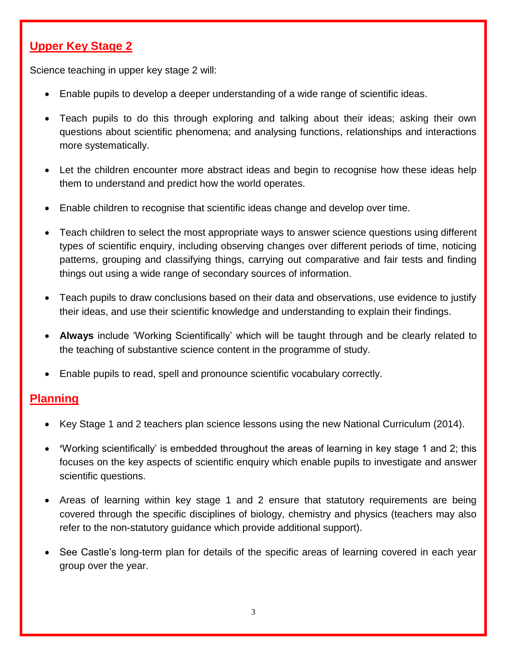# **Upper Key Stage 2**

Science teaching in upper key stage 2 will:

- Enable pupils to develop a deeper understanding of a wide range of scientific ideas.
- Teach pupils to do this through exploring and talking about their ideas; asking their own questions about scientific phenomena; and analysing functions, relationships and interactions more systematically.
- Let the children encounter more abstract ideas and begin to recognise how these ideas help them to understand and predict how the world operates.
- Enable children to recognise that scientific ideas change and develop over time.
- Teach children to select the most appropriate ways to answer science questions using different types of scientific enquiry, including observing changes over different periods of time, noticing patterns, grouping and classifying things, carrying out comparative and fair tests and finding things out using a wide range of secondary sources of information.
- Teach pupils to draw conclusions based on their data and observations, use evidence to justify their ideas, and use their scientific knowledge and understanding to explain their findings.
- **Always** include 'Working Scientifically' which will be taught through and be clearly related to the teaching of substantive science content in the programme of study.
- Enable pupils to read, spell and pronounce scientific vocabulary correctly.

# **Planning**

- Key Stage 1 and 2 teachers plan science lessons using the new National Curriculum (2014).
- **'**Working scientifically' is embedded throughout the areas of learning in key stage 1 and 2; this focuses on the key aspects of scientific enquiry which enable pupils to investigate and answer scientific questions.
- Areas of learning within key stage 1 and 2 ensure that statutory requirements are being covered through the specific disciplines of biology, chemistry and physics (teachers may also refer to the non-statutory guidance which provide additional support).
- See Castle's long-term plan for details of the specific areas of learning covered in each year group over the year.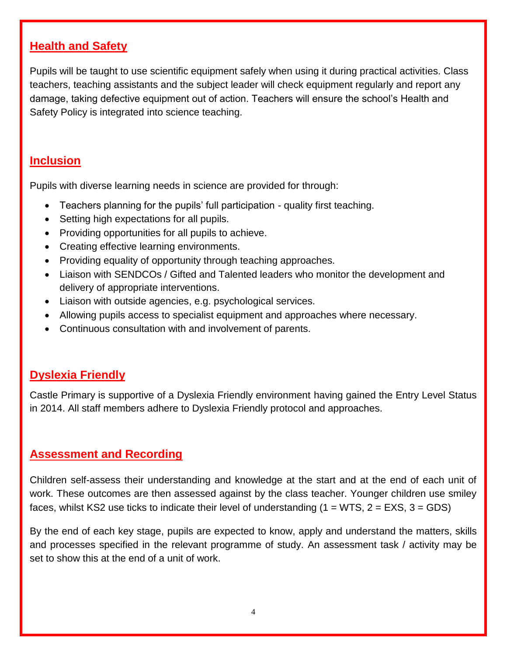#### **Health and Safety**

Pupils will be taught to use scientific equipment safely when using it during practical activities. Class teachers, teaching assistants and the subject leader will check equipment regularly and report any damage, taking defective equipment out of action. Teachers will ensure the school's Health and Safety Policy is integrated into science teaching.

#### **Inclusion**

Pupils with diverse learning needs in science are provided for through:

- Teachers planning for the pupils' full participation quality first teaching.
- Setting high expectations for all pupils.
- Providing opportunities for all pupils to achieve.
- Creating effective learning environments.
- Providing equality of opportunity through teaching approaches.
- Liaison with SENDCOs / Gifted and Talented leaders who monitor the development and delivery of appropriate interventions.
- Liaison with outside agencies, e.g. psychological services.
- Allowing pupils access to specialist equipment and approaches where necessary.
- Continuous consultation with and involvement of parents.

#### **Dyslexia Friendly**

Castle Primary is supportive of a Dyslexia Friendly environment having gained the Entry Level Status in 2014. All staff members adhere to Dyslexia Friendly protocol and approaches.

#### **Assessment and Recording**

Children self-assess their understanding and knowledge at the start and at the end of each unit of work. These outcomes are then assessed against by the class teacher. Younger children use smiley faces, whilst KS2 use ticks to indicate their level of understanding  $(1 = WTS, 2 = EXS, 3 = GDS)$ 

By the end of each key stage, pupils are expected to know, apply and understand the matters, skills and processes specified in the relevant programme of study. An assessment task / activity may be set to show this at the end of a unit of work.